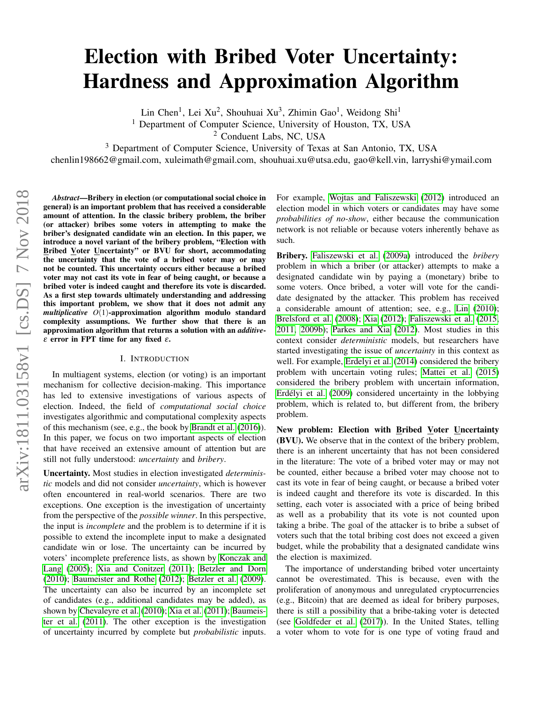# Election with Bribed Voter Uncertainty: Hardness and Approximation Algorithm

Lin Chen<sup>1</sup>, Lei Xu<sup>2</sup>, Shouhuai Xu<sup>3</sup>, Zhimin Gao<sup>1</sup>, Weidong Shi<sup>1</sup>

<sup>1</sup> Department of Computer Science, University of Houston, TX, USA

<sup>2</sup> Conduent Labs, NC, USA

<sup>3</sup> Department of Computer Science, University of Texas at San Antonio, TX, USA

chenlin198662@gmail.com, xuleimath@gmail.com, shouhuai.xu@utsa.edu, gao@kell.vin, larryshi@ymail.com

*Abstract*—Bribery in election (or computational social choice in general) is an important problem that has received a considerable amount of attention. In the classic bribery problem, the briber (or attacker) bribes some voters in attempting to make the briber's designated candidate win an election. In this paper, we introduce a novel variant of the bribery problem, "Election with Bribed Voter Uncertainty" or BVU for short, accommodating the uncertainty that the vote of a bribed voter may or may not be counted. This uncertainty occurs either because a bribed voter may not cast its vote in fear of being caught, or because a bribed voter is indeed caught and therefore its vote is discarded. As a first step towards ultimately understanding and addressing this important problem, we show that it does not admit any *multiplicative O*(1)-approximation algorithm modulo standard complexity assumptions. We further show that there is an approximation algorithm that returns a solution with an *additive*ε error in FPT time for any fixed ε.

#### I. INTRODUCTION

In multiagent systems, election (or voting) is an important mechanism for collective decision-making. This importance has led to extensive investigations of various aspects of election. Indeed, the field of *computational social choice* investigates algorithmic and computational complexity aspects of this mechanism (see, e.g., the book by [Brandt et al.](#page-10-0) [\(2016\)](#page-10-0)). In this paper, we focus on two important aspects of election that have received an extensive amount of attention but are still not fully understood: *uncertainty* and *bribery*.

Uncertainty. Most studies in election investigated *deterministic* models and did not consider *uncertainty*, which is however often encountered in real-world scenarios. There are two exceptions. One exception is the investigation of uncertainty from the perspective of the *possible winner*. In this perspective, the input is *incomplete* and the problem is to determine if it is possible to extend the incomplete input to make a designated candidate win or lose. The uncertainty can be incurred by voters' incomplete preference lists, as shown by [Konczak and](#page-10-1) [Lang](#page-10-1) [\(2005\)](#page-10-1); [Xia and Conitzer](#page-10-2) [\(2011\)](#page-10-2); [Betzler and Dorn](#page-10-3) [\(2010\)](#page-10-3); [Baumeister and Rothe](#page-10-4) [\(2012\)](#page-10-4); [Betzler et al.](#page-10-5) [\(2009\)](#page-10-5). The uncertainty can also be incurred by an incomplete set of candidates (e.g., additional candidates may be added), as shown by [Chevaleyre et al.](#page-10-6) [\(2010\)](#page-10-6); [Xia et al.](#page-10-7) [\(2011\)](#page-10-7); [Baumeis](#page-10-8)[ter et al.](#page-10-8) [\(2011\)](#page-10-8). The other exception is the investigation of uncertainty incurred by complete but *probabilistic* inputs.

For example, [Wojtas and Faliszewski](#page-10-9) [\(2012\)](#page-10-9) introduced an election model in which voters or candidates may have some *probabilities of no-show*, either because the communication network is not reliable or because voters inherently behave as such.

Bribery. [Faliszewski et al.](#page-10-10) [\(2009a\)](#page-10-10) introduced the *bribery* problem in which a briber (or attacker) attempts to make a designated candidate win by paying a (monetary) bribe to some voters. Once bribed, a voter will vote for the candidate designated by the attacker. This problem has received a considerable amount of attention; see, e.g., [Lin](#page-10-11) [\(2010\)](#page-10-11); [Brelsford et al.](#page-10-12) [\(2008\)](#page-10-12); [Xia](#page-10-13) [\(2012\)](#page-10-13); [Faliszewski et al.](#page-10-14) [\(2015,](#page-10-14) [2011,](#page-10-15) [2009b\)](#page-10-16); [Parkes and Xia](#page-10-17) [\(2012\)](#page-10-17). Most studies in this context consider *deterministic* models, but researchers have started investigating the issue of *uncertainty* in this context as well. For example, [Erdelyi et al.](#page-10-18) [\(2014\)](#page-10-18) considered the bribery problem with uncertain voting rules; [Mattei et al.](#page-10-19) [\(2015\)](#page-10-19) considered the bribery problem with uncertain information, Erdélyi et al. [\(2009\)](#page-10-20) considered uncertainty in the lobbying problem, which is related to, but different from, the bribery problem.

New problem: Election with Bribed Voter Uncertainty (BVU). We observe that in the context of the bribery problem, there is an inherent uncertainty that has not been considered in the literature: The vote of a bribed voter may or may not be counted, either because a bribed voter may choose not to cast its vote in fear of being caught, or because a bribed voter is indeed caught and therefore its vote is discarded. In this setting, each voter is associated with a price of being bribed as well as a probability that its vote is not counted upon taking a bribe. The goal of the attacker is to bribe a subset of voters such that the total bribing cost does not exceed a given budget, while the probability that a designated candidate wins the election is maximized.

The importance of understanding bribed voter uncertainty cannot be overestimated. This is because, even with the proliferation of anonymous and unregulated cryptocurrencies (e.g., Bitcoin) that are deemed as ideal for bribery purposes, there is still a possibility that a bribe-taking voter is detected (see [Goldfeder et al.](#page-10-21) [\(2017\)](#page-10-21)). In the United States, telling a voter whom to vote for is one type of voting fraud and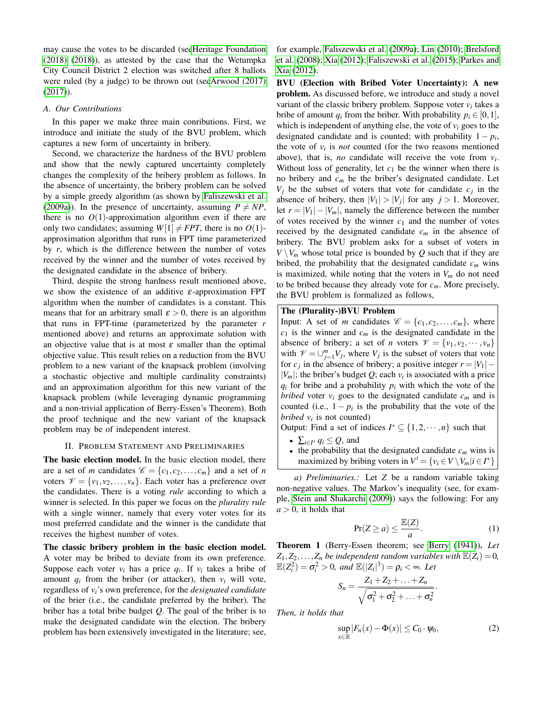may cause the votes to be discarded (se[eHeritage Foundation](#page-10-22) [\(2018\)](#page-10-22) [\(2018\)](#page-10-22)), as attested by the case that the Wetumpka City Council District 2 election was switched after 8 ballots were ruled (by a judge) to be thrown out (se[eArwood \(2017\)](#page-10-23) [\(2017\)](#page-10-23)).

## *A. Our Contributions*

In this paper we make three main conributions. First, we introduce and initiate the study of the BVU problem, which captures a new form of uncertainty in bribery.

Second, we characterize the hardness of the BVU problem and show that the newly captured uncertainty completely changes the complexity of the bribery problem as follows. In the absence of uncertainty, the bribery problem can be solved by a simple greedy algorithm (as shown by [Faliszewski et al.](#page-10-10) [\(2009a\)](#page-10-10)). In the presence of uncertainty, assuming  $P \neq NP$ , there is no  $O(1)$ -approximation algorithm even if there are only two candidates; assuming  $W[1] \neq FPT$ , there is no  $O(1)$ approximation algorithm that runs in FPT time parameterized by *r*, which is the difference between the number of votes received by the winner and the number of votes received by the designated candidate in the absence of bribery.

Third, despite the strong hardness result mentioned above, we show the existence of an additive  $\varepsilon$ -approximation FPT algorithm when the number of candidates is a constant. This means that for an arbitrary small  $\varepsilon > 0$ , there is an algorithm that runs in FPT-time (parameterized by the parameter *r* mentioned above) and returns an approximate solution with an objective value that is at most  $\varepsilon$  smaller than the optimal objective value. This result relies on a reduction from the BVU problem to a new variant of the knapsack problem (involving a stochastic objective and multiple cardinality constraints) and an approximation algorithm for this new variant of the knapsack problem (while leveraging dynamic programming and a non-trivial application of Berry-Essen's Theorem). Both the proof technique and the new variant of the knapsack problem may be of independent interest.

#### II. PROBLEM STATEMENT AND PRELIMINARIES

The basic election model. In the basic election model, there are a set of *m* candidates  $\mathcal{C} = \{c_1, c_2, \dots, c_m\}$  and a set of *n* voters  $\mathcal{V} = \{v_1, v_2, \dots, v_n\}$ . Each voter has a preference over the candidates. There is a voting *rule* according to which a winner is selected. In this paper we focus on the *plurality rule* with a single winner, namely that every voter votes for its most preferred candidate and the winner is the candidate that receives the highest number of votes.

The classic bribery problem in the basic election model. A voter may be bribed to deviate from its own preference. Suppose each voter  $v_i$  has a price  $q_i$ . If  $v_i$  takes a bribe of amount  $q_i$  from the briber (or attacker), then  $v_i$  will vote, regardless of *vi*'s own preference, for the *designated candidate* of the brier (i.e., the candidate preferred by the briber). The briber has a total bribe budget *Q*. The goal of the briber is to make the designated candidate win the election. The bribery problem has been extensively investigated in the literature; see, for example, [Faliszewski et al.](#page-10-10) [\(2009a\)](#page-10-10); [Lin](#page-10-11) [\(2010\)](#page-10-11); [Brelsford](#page-10-12) [et al.](#page-10-12) [\(2008\)](#page-10-12); [Xia](#page-10-13) [\(2012\)](#page-10-13); [Faliszewski et al.](#page-10-14) [\(2015\)](#page-10-14); [Parkes and](#page-10-17) [Xia](#page-10-17) [\(2012\)](#page-10-17).

BVU (Election with Bribed Voter Uncertainty): A new problem. As discussed before, we introduce and study a novel variant of the classic bribery problem. Suppose voter  $v_i$  takes a bribe of amount  $q_i$  from the briber. With probability  $p_i \in [0,1]$ , which is independent of anything else, the vote of  $v_i$  goes to the designated candidate and is counted; with probability  $1 - p_i$ , the vote of  $v_i$  is *not* counted (for the two reasons mentioned above), that is, *no* candidate will receive the vote from *v<sup>i</sup>* . Without loss of generality, let  $c_1$  be the winner when there is no bribery and *c<sup>m</sup>* be the briber's designated candidate. Let  $V_j$  be the subset of voters that vote for candidate  $c_j$  in the absence of bribery, then  $|V_1| > |V_j|$  for any  $j > 1$ . Moreover, let  $r = |V_1| - |V_m|$ , namely the difference between the number of votes received by the winner  $c_1$  and the number of votes received by the designated candidate *c<sup>m</sup>* in the absence of bribery. The BVU problem asks for a subset of voters in  $V \setminus V_m$  whose total price is bounded by *Q* such that if they are bribed, the probability that the designated candidate  $c_m$  wins is maximized, while noting that the voters in  $V_m$  do not need to be bribed because they already vote for *cm*. More precisely, the BVU problem is formalized as follows,

## The (Plurality-)BVU Problem

Input: A set of *m* candidates  $\mathcal{C} = \{c_1, c_2, \ldots, c_m\}$ , where  $c_1$  is the winner and  $c_m$  is the designated candidate in the absence of bribery; a set of *n* voters  $\mathcal{V} = \{v_1, v_2, \dots, v_n\}$ with  $\mathcal{V} = \bigcup_{j=1}^{m} V_j$ , where  $V_j$  is the subset of voters that vote for  $c_j$  in the absence of bribery; a positive integer  $r = |V_1| |V_m|$ ; the briber's budget *Q*; each  $v_i$  is associated with a price  $q_i$  for bribe and a probability  $p_i$  with which the vote of the *bribed* voter  $v_i$  goes to the designated candidate  $c_m$  and is counted (i.e.,  $1 - p_i$  is the probability that the vote of the *bribed*  $v_i$  is not counted)

Output: Find a set of indices  $I^* \subseteq \{1, 2, \dots, n\}$  such that

- $\sum_{i \in I^*} q_i \leq Q$ , and
- the probability that the designated candidate  $c_m$  wins is maximized by bribing voters in  $V' = \{v_i \in V \setminus V_m | i \in I^*\}$

*a) Preliminaries.:* Let *Z* be a random variable taking non-negative values. The Markov's inequality (see, for example, [Stein and Shakarchi](#page-10-24) [\(2009\)](#page-10-24)) says the following: For any  $a > 0$ , it holds that

<span id="page-1-0"></span>
$$
\Pr(Z \ge a) \le \frac{\mathbb{E}(Z)}{a}.\tag{1}
$$

Theorem 1 (Berry-Essen theorem; see [Berry](#page-10-25) [\(1941\)](#page-10-25)). *Let*  $Z_1, Z_2, \ldots, Z_n$  *be independent random variables with*  $\mathbb{E}(Z_i) = 0$ *,*  $\mathbb{E}(Z_i^2) = \sigma_i^2 > 0$ , and  $\mathbb{E}(|Z_i|^3) = \rho_i < \infty$ . Let

$$
S_n = \frac{Z_1 + Z_2 + \ldots + Z_n}{\sqrt{\sigma_1^2 + \sigma_2^2 + \ldots + \sigma_n^2}}.
$$

*Then, it holds that*

<span id="page-1-1"></span>
$$
\sup_{x \in \mathbb{R}} |F_n(x) - \Phi(x)| \le C_0 \cdot \psi_0,
$$
\n(2)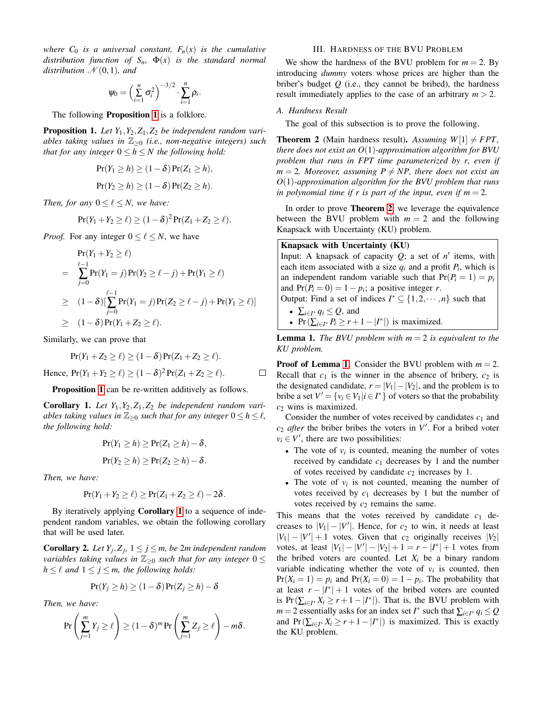*where*  $C_0$  *is a universal constant,*  $F_n(x)$  *is the cumulative distribution function of*  $S_n$ ,  $\Phi(x)$  *is the standard normal distribution*  $\mathcal{N}(0,1)$ *, and* 

$$
\psi_0 = \left(\sum_{i=1}^n \sigma_i^2\right)^{-3/2} \cdot \sum_{i=1}^n \rho_i.
$$

The following **Proposition [1](#page-2-0)** is a folklore.

<span id="page-2-0"></span>**Proposition 1.** Let  $Y_1, Y_2, Z_1, Z_2$  be independent random vari*ables taking values in* Z≥<sup>0</sup> *(i.e., non-negative integers) such that for any integer*  $0 \leq h \leq N$  *the following hold:* 

$$
Pr(Y_1 \ge h) \ge (1 - \delta) Pr(Z_1 \ge h),
$$
  
 
$$
Pr(Y_2 \ge h) \ge (1 - \delta) Pr(Z_2 \ge h).
$$

*Then, for any*  $0 \leq \ell \leq N$ *, we have:* 

$$
Pr(Y_1 + Y_2 \ge \ell) \ge (1 - \delta)^2 Pr(Z_1 + Z_2 \ge \ell).
$$

*Proof.* For any integer  $0 \leq \ell \leq N$ , we have

$$
\Pr(Y_1 + Y_2 \ge \ell) \n= \sum_{j=0}^{\ell-1} \Pr(Y_1 = j) \Pr(Y_2 \ge \ell - j) + \Pr(Y_1 \ge \ell) \n\ge (1 - \delta) [\sum_{j=0}^{\ell-1} \Pr(Y_1 = j) \Pr(Z_2 \ge \ell - j) + \Pr(Y_1 \ge \ell)] \n\ge (1 - \delta) \Pr(Y_1 + Z_2 \ge \ell).
$$

Similarly, we can prove that

$$
Pr(Y_1 + Z_2 \geq \ell) \geq (1 - \delta) Pr(Z_1 + Z_2 \geq \ell).
$$

Hence,  $Pr(Y_1 + Y_2 \ge \ell) \ge (1 - \delta)^2 Pr(Z_1 + Z_2 \ge \ell)$ .

Proposition [1](#page-2-0) can be re-written additively as follows.

<span id="page-2-1"></span>**Corollary 1.** Let  $Y_1, Y_2, Z_1, Z_2$  be independent random vari*ables taking values in*  $\mathbb{Z}_{\geq 0}$  *such that for any integer*  $0 \leq h \leq \ell$ *, the following hold:*

$$
Pr(Y_1 \ge h) \ge Pr(Z_1 \ge h) - \delta,
$$
  
 
$$
Pr(Y_2 \ge h) \ge Pr(Z_2 \ge h) - \delta.
$$

*Then, we have:*

$$
Pr(Y_1+Y_2\geq \ell)\geq Pr(Z_1+Z_2\geq \ell)-2\delta.
$$

By iteratively applying Corollary [1](#page-2-1) to a sequence of independent random variables, we obtain the following corollary that will be used later.

<span id="page-2-4"></span>**Corollary 2.** Let  $Y_j, Z_j, 1 \leq j \leq m$ , be  $2m$  independent random *variables taking values in*  $\mathbb{Z}_{\geq 0}$  *such that for any integer*  $0 \leq$ *h*  $\leq$   $\ell$  *and*  $1 \leq j \leq m$ *, the following holds:* 

$$
\Pr(Y_j \ge h) \ge (1 - \delta) \Pr(Z_j \ge h) - \delta
$$

*Then, we have:*

$$
\Pr\left(\sum_{j=1}^m Y_j \ge \ell\right) \ge (1-\delta)^m \Pr\left(\sum_{j=1}^m Z_j \ge \ell\right) - m\delta.
$$

## III. HARDNESS OF THE BVU PROBLEM

We show the hardness of the BVU problem for  $m = 2$ . By introducing *dummy* voters whose prices are higher than the briber's budget *Q* (i.e., they cannot be bribed), the hardness result immediately applies to the case of an arbitrary  $m > 2$ .

#### *A. Hardness Result*

The goal of this subsection is to prove the following.

<span id="page-2-2"></span>**Theorem 2** (Main hardness result). Assuming  $W[1] \neq FPT$ , *there does not exist an O*(1)*-approximation algorithm for BVU problem that runs in FPT time parameterized by r, even if*  $m = 2$ *. Moreover, assuming*  $P \neq NP$ *, there does not exist an O*(1)*-approximation algorithm for the BVU problem that runs in polynomial time if r is part of the input, even if m* = 2*.* 

In order to prove Theorem [2](#page-2-2), we leverage the equivalence between the BVU problem with  $m = 2$  and the following Knapsack with Uncertainty (KU) problem.

#### Knapsack with Uncertainty (KU)

Input: A knapsack of capacity  $Q$ ; a set of  $n'$  items, with each item associated with a size  $q_i$  and a profit  $P_i$ , which is an independent random variable such that  $Pr(P_i = 1) = p_i$ and  $Pr(P_i = 0) = 1 - p_i$ ; a positive integer *r*. Output: Find a set of indices  $I^* \subseteq \{1, 2, \dots, n\}$  such that

•  $\sum_{i \in I^*} q_i \leq Q$ , and

 $\Box$ 

• Pr( $\sum_{i \in I^*} P_i \ge r + 1 - |I^*|$ ) is maximized.

<span id="page-2-3"></span>**Lemma 1.** *The BVU problem with*  $m = 2$  *is equivalent to the KU problem.*

**Proof of Lemma [1.](#page-2-3)** Consider the BVU problem with  $m = 2$ . Recall that  $c_1$  is the winner in the absence of bribery,  $c_2$  is the designated candidate,  $r = |V_1| - |V_2|$ , and the problem is to bribe a set  $V' = \{v_i \in V_1 | i \in I^*\}$  of voters so that the probability *c*<sup>2</sup> wins is maximized.

Consider the number of votes received by candidates  $c_1$  and  $c_2$  *after* the briber bribes the voters in  $V'$ . For a bribed voter  $v_i \in V'$ , there are two possibilities:

- The vote of  $v_i$  is counted, meaning the number of votes received by candidate  $c_1$  decreases by 1 and the number of votes received by candidate  $c_2$  increases by 1.
- The vote of  $v_i$  is not counted, meaning the number of votes received by  $c_1$  decreases by 1 but the number of votes received by  $c_2$  remains the same.

This means that the votes received by candidate  $c_1$  decreases to  $|V_1| - |V'|$ . Hence, for  $c_2$  to win, it needs at least  $|V_1| - |V'| + 1$  votes. Given that  $c_2$  originally receives  $|V_2|$ votes, at least  $|V_1| - |V'| - |V_2| + 1 = r - |I^*| + 1$  votes from the bribed voters are counted. Let  $X_i$  be a binary random variable indicating whether the vote of  $v_i$  is counted, then  $Pr(X_i = 1) = p_i$  and  $Pr(X_i = 0) = 1 - p_i$ . The probability that at least  $r - |I^*| + 1$  votes of the bribed voters are counted is Pr( $\sum_{i \in I^*} X_i \ge r + 1 - |I^*|$ ). That is, the BVU problem with  $m = 2$  essentially asks for an index set *I*<sup>\*</sup> such that  $\sum_{i \in I^*} q_i \leq Q$ and Pr( $\sum_{i \in I^*} X_i \ge r + 1 - |I^*|$ ) is maximized. This is exactly the KU problem.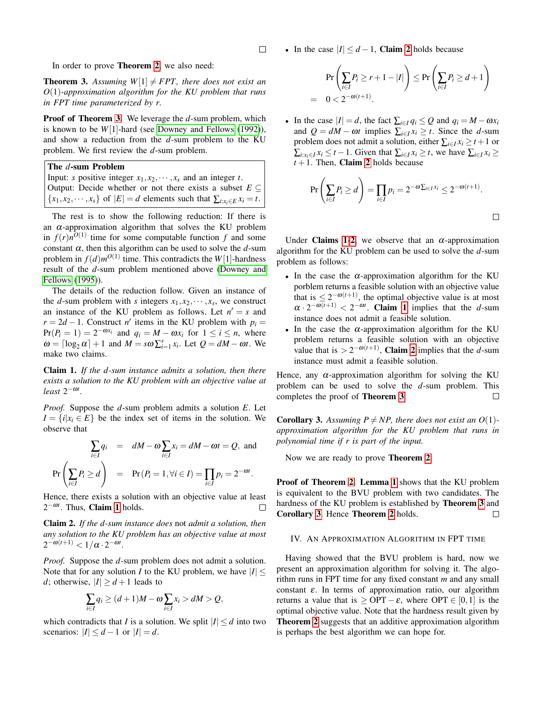$\Box$ 

In order to prove Theorem [2](#page-2-2), we also need:

<span id="page-3-0"></span>**Theorem 3.** Assuming  $W[1] \neq FPT$ , there does not exist an *O*(1)*-approximation algorithm for the KU problem that runs in FPT time parameterized by r.*

Proof of Theorem [3.](#page-3-0) We leverage the *d*-sum problem, which is known to be *W*[1]-hard (see [Downey and Fellows](#page-10-26) [\(1992\)](#page-10-26)), and show a reduction from the *d*-sum problem to the KU problem. We first review the *d*-sum problem.

The *d*-sum Problem

Input: *s* positive integer  $x_1, x_2, \dots, x_s$  and an integer *t*. Output: Decide whether or not there exists a subset  $E \subseteq$  $\{x_1, x_2, \dots, x_s\}$  of  $|E| = d$  elements such that  $\sum_{i: x_i \in E} x_i = t$ .

The rest is to show the following reduction: If there is an  $\alpha$ -approximation algorithm that solves the KU problem in  $f(r)n^{O(1)}$  time for some computable function  $f$  and some constant  $\alpha$ , then this algorithm can be used to solve the  $d$ -sum problem in  $f(d)m^{O(1)}$  time. This contradicts the  $W[1]$ -hardness result of the *d*-sum problem mentioned above [\(Downey and](#page-10-27) [Fellows](#page-10-27) [\(1995\)](#page-10-27)).

The details of the reduction follow. Given an instance of the *d*-sum problem with *s* integers  $x_1, x_2, \dots, x_s$ , we construct an instance of the KU problem as follows. Let  $n' = s$  and  $r = 2d - 1$ . Construct *n'* items in the KU problem with  $p_i =$  $Pr(P_i = 1) = 2^{-\omega x_i}$  and  $q_i = M - \omega x_i$  for  $1 \le i \le n$ , where  $\omega = \left[\log_2 \alpha\right] + 1$  and  $M = s\omega \sum_{i=1}^s x_i$ . Let  $Q = dM - \omega t$ . We make two claims.

<span id="page-3-1"></span>Claim 1. *If the d-sum instance admits a solution, then there exists a solution to the KU problem with an objective value at*  $least 2^{-\omega t}$ .

*Proof.* Suppose the *d*-sum problem admits a solution *E*. Let  $I = \{i | x_i \in E\}$  be the index set of items in the solution. We observe that

$$
\sum_{i \in I} q_i = dM - \omega \sum_{i \in I} x_i = dM - \omega t = Q, \text{ and}
$$
  
Pr $\left(\sum_{i \in I} P_i \ge d\right) = \Pr(P_i = 1, \forall i \in I) = \prod_{i \in I} p_i = 2^{-\omega t}.$ 

Hence, there exists a solution with an objective value at least  $2^{-\omega t}$ . Thus, **Claim [1](#page-3-1)** holds. П

<span id="page-3-2"></span>Claim 2. *If the d-sum instance does* not *admit a solution, then any solution to the KU problem has an objective value at most*  $2^{-\omega(t+1)} < 1/\alpha \cdot 2^{-\omega t}.$ 

*Proof.* Suppose the *d*-sum problem does not admit a solution. Note that for any solution *I* to the KU problem, we have  $|I|$  < *d*; otherwise,  $|I| > d + 1$  leads to

$$
\sum_{i\in I} q_i \ge (d+1)M - \omega \sum_{i\in I} x_i > dM > Q,
$$

which contradicts that *I* is a solution. We split  $|I| \le d$  into two scenarios:  $|I| \leq d - 1$  or  $|I| = d$ .

• In the case  $|I| \leq d-1$ , **Claim [2](#page-3-2)** holds because

$$
\Pr\left(\sum_{i\in I} P_i \ge r + 1 - |I|\right) \le \Pr\left(\sum_{i\in I} P_i \ge d + 1\right)
$$
  
= 0 < 2^{-\omega(t+1)}.

• In the case  $|I| = d$ , the fact  $\sum_{i \in I} q_i \leq Q$  and  $q_i = M - \omega x_i$ and  $Q = dM - \omega t$  implies  $\sum_{i \in I} x_i \geq t$ . Since the *d*-sum problem does not admit a solution, either  $\sum_{i \in I} x_i \geq t + 1$  or  $\sum_{i: x_i \in I} x_i \leq t - 1$ . Given that  $\sum_{i \in I} x_i \geq t$ , we have  $\sum_{i \in I} x_i \geq t$  $t + 1$ . Then, **Claim [2](#page-3-2)** holds because

$$
\Pr\left(\sum_{i\in I} P_i \ge d\right) = \prod_{i\in I} p_i = 2^{-\omega \sum_{i\in I} x_i} \le 2^{-\omega(t+1)}.
$$

Under Claims [1](#page-3-1)-[2](#page-3-2), we observe that an  $\alpha$ -approximation algorithm for the KU problem can be used to solve the *d*-sum problem as follows:

- In the case the  $\alpha$ -approximation algorithm for the KU porblem returns a feasible solution with an objective value that is  $\leq 2^{-\omega(t+1)}$ , the optimal objective value is at most  $\alpha \cdot 2^{-\omega(t+1)} < 2^{-\omega t}$ . Claim [1](#page-3-1) implies that the *d*-sum instance does not admit a feasible solution.
- In the case the  $\alpha$ -approximation algorithm for the KU problem returns a feasible solution with an objective value that is  $> 2^{-\omega(t+1)}$  $> 2^{-\omega(t+1)}$  $> 2^{-\omega(t+1)}$ , **Claim 2** implies that the *d*-sum instance must admit a feasible solution.

Hence, any  $\alpha$ -approximation algorithm for solving the KU problem can be used to solve the *d*-sum problem. This completes the proof of Theorem [3](#page-3-0).  $\Box$ 

<span id="page-3-3"></span>**Corollary 3.** Assuming  $P \neq NP$ , there does not exist an  $O(1)$ *approximation algorithm for the KU problem that runs in polynomial time if r is part of the input.*

Now we are ready to prove Theorem [2](#page-2-2).

Proof of Theorem [2.](#page-2-2) Lemma [1](#page-2-3) shows that the KU problem is equivalent to the BVU problem with two candidates. The hardness of the KU problem is established by Theorem [3](#page-3-0) and Corollary [3](#page-3-3). Hence Theorem [2](#page-2-2) holds.  $\Box$ 

#### IV. AN APPROXIMATION ALGORITHM IN FPT TIME

Having showed that the BVU problem is hard, now we present an approximation algorithm for solving it. The algorithm runs in FPT time for any fixed constant *m* and any small constant  $\varepsilon$ . In terms of approximation ratio, our algorithm returns a value that is  $\geq$  OPT –  $\varepsilon$ , where OPT  $\in [0,1]$  is the optimal objective value. Note that the hardness result given by Theorem [2](#page-2-2) suggests that an additive approximation algorithm is perhaps the best algorithm we can hope for.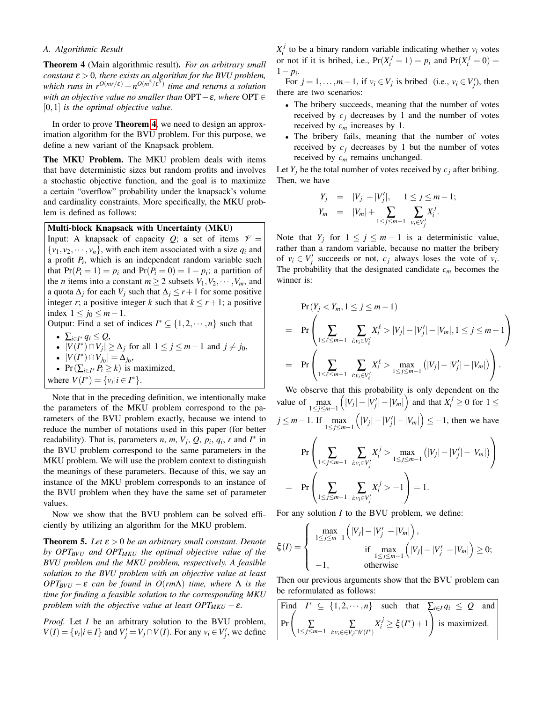## *A. Algorithmic Result*

<span id="page-4-0"></span>Theorem 4 (Main algorithmic result). *For an arbitrary small constant* ε > 0*, there exists an algorithm for the BVU problem, which runs in*  $r^{O(mr/\varepsilon)} + n^{O(m^5/\varepsilon^5)}$  *time and returns a solution with an objective value no smaller than* OPT−ε*, where* OPT ∈ [0,1] *is the optimal objective value.*

In order to prove Theorem [4](#page-4-0), we need to design an approximation algorithm for the BVU problem. For this purpose, we define a new variant of the Knapsack problem.

The MKU Problem. The MKU problem deals with items that have deterministic sizes but random profits and involves a stochastic objective function, and the goal is to maximize a certain "overflow" probability under the knapsack's volume and cardinality constraints. More specifically, the MKU problem is defined as follows:

## Multi-block Knapsack with Uncertainty (MKU)

Input: A knapsack of capacity  $Q$ ; a set of items  $\mathcal{V} =$  $\{v_1, v_2, \dots, v_n\}$ , with each item associated with a size  $q_i$  and a profit *P<sup>i</sup>* , which is an independent random variable such that  $Pr(P_i = 1) = p_i$  and  $Pr(P_i = 0) = 1 - p_i$ ; a partition of the *n* items into a constant  $m \geq 2$  subsets  $V_1, V_2, \dots, V_m$ , and a quota  $\Delta_j$  for each  $V_j$  such that  $\Delta_j \leq r+1$  for some positive integer *r*; a positive integer *k* such that  $k \le r + 1$ ; a positive index  $1 \leq j_0 \leq m-1$ .

Output: Find a set of indices  $I^* \subseteq \{1, 2, \dots, n\}$  such that

• 
$$
\sum_{i\in I^*} q_i \leq Q,
$$

• 
$$
|V(I^*) \cap V_j| \ge \Delta_j
$$
 for all  $1 \le j \le m-1$  and  $j \ne j_0$ ,

$$
\bullet \ |V(I^*) \cap V_{j_0}| = \Delta_{j_0}
$$

• 
$$
\Pr(\sum_{i \in I^*} P_i \ge k)
$$
 is maximized,

,

where  $V(I^*) = \{v_i | i \in I^*\}.$ 

Note that in the preceding definition, we intentionally make the parameters of the MKU problem correspond to the parameters of the BVU problem exactly, because we intend to reduce the number of notations used in this paper (for better readability). That is, parameters *n*, *m*,  $V_j$ , *Q*,  $p_i$ ,  $q_i$ ,  $r$  and  $I^*$  in the BVU problem correspond to the same parameters in the MKU problem. We will use the problem context to distinguish the meanings of these parameters. Because of this, we say an instance of the MKU problem corresponds to an instance of the BVU problem when they have the same set of parameter values.

Now we show that the BVU problem can be solved efficiently by utilizing an algorithm for the MKU problem.

<span id="page-4-1"></span>**Theorem 5.** Let  $\varepsilon > 0$  be an arbitrary small constant. Denote *by OPTBVU and OPTMKU the optimal objective value of the BVU problem and the MKU problem, respectively. A feasible solution to the BVU problem with an objective value at least OPT<sub>BVU</sub>* − ε *can be found in O(rm* $\Lambda$ ) *time, where*  $\Lambda$  *is the time for finding a feasible solution to the corresponding MKU problem with the objective value at least*  $OPT_{MKU} - \varepsilon$ *.* 

*Proof.* Let *I* be an arbitrary solution to the BVU problem,  $V(I) = \{v_i | i \in I\}$  and  $V'_j = V_j \cap V(I)$ . For any  $v_i \in V'_j$ , we define  $X_i^j$  to be a binary random variable indicating whether  $v_i$  votes or not if it is bribed, i.e.,  $Pr(X_i^j = 1) = p_i$  and  $Pr(X_i^j = 0) =$ 1− *p<sup>i</sup>* .

For  $j = 1, ..., m-1$ , if  $v_i \in V_j$  is bribed (i.e.,  $v_i \in V'_j$ ), then there are two scenarios:

- The bribery succeeds, meaning that the number of votes received by  $c_j$  decreases by 1 and the number of votes received by *c<sup>m</sup>* increases by 1.
- The bribery fails, meaning that the number of votes received by  $c_j$  decreases by 1 but the number of votes received by *c<sup>m</sup>* remains unchanged.

Let  $Y_i$  be the total number of votes received by  $c_i$  after bribing. Then, we have

$$
Y_j = |V_j| - |V'_j|, \quad 1 \le j \le m-1;
$$
  
\n
$$
Y_m = |V_m| + \sum_{1 \le j \le m-1} \sum_{v_i \in V'_j} X_i^j.
$$

Note that  $Y_j$  for  $1 \le j \le m-1$  is a deterministic value, rather than a random variable, because no matter the bribery of  $v_i \in V'_j$  succeeds or not,  $c_j$  always loses the vote of  $v_i$ . The probability that the designated candidate *c<sup>m</sup>* becomes the winner is:

$$
\Pr(Y_j < Y_m, 1 \leq j \leq m-1) \\
= \Pr\left(\sum_{1 \leq \ell \leq m-1} \sum_{i: v_i \in V'_\ell} X_i^{\ell} > |V_j| - |V'_j| - |V_m|, 1 \leq j \leq m-1\right) \\
= \Pr\left(\sum_{1 \leq \ell \leq m-1} \sum_{i: v_i \in V'_\ell} X_i^{\ell} > \max_{1 \leq j \leq m-1} \left(|V_j| - |V'_j| - |V_m|\right)\right).
$$

We observe that this probability is only dependent on the value of  $\max_{1 \le j \le m-1}$  $\left(|V_j| - |V'_j| - |V_m|\right)$  and that  $X_i^j \ge 0$  for  $1 \le$ *j* ≤ *m*−1. If max 1≤*j*≤*m*−1  $\left(|V_j| - |V'_j| - |V_m|\right) \leq -1$ , then we have Pr  $\sqrt{ }$  $\left\{\sum_{1 \leq j \leq m-1} \sum_{i:v_i \in V'_j}\right\}$  $X_i^j > \max_{1 \le j \le m-1} (|V_j| - |V'_j| - |V_m|)$  $\setminus$  $\overline{1}$  $=$  Pr  $\sqrt{ }$  $\left\{\sum_{1 \leq j \leq m-1} \sum_{i:v_i \in V'_j}\right\}$  $X_i^j > -1$  $\setminus$  $= 1.$ 

For any solution *I* to the BVU problem, we define:

$$
\xi(I) = \begin{cases}\n\max_{1 \leq j \leq m-1} \left( |V_j| - |V'_j| - |V_m| \right), \\
\text{if } \max_{1 \leq j \leq m-1} \left( |V_j| - |V'_j| - |V_m| \right) \geq 0; \\
-1, \quad \text{otherwise}\n\end{cases}
$$

Then our previous arguments show that the BVU problem can be reformulated as follows:

Find 
$$
I^* \subseteq \{1, 2, \dots, n\}
$$
 such that  $\sum_{i \in I} q_i \le Q$  and  $\Pr\left(\sum_{1 \le j \le m-1} \sum_{i: v_i \in \text{V}_j \cap \text{V}(I^*)} X_i^j \ge \xi(I^*) + 1\right)$  is maximized.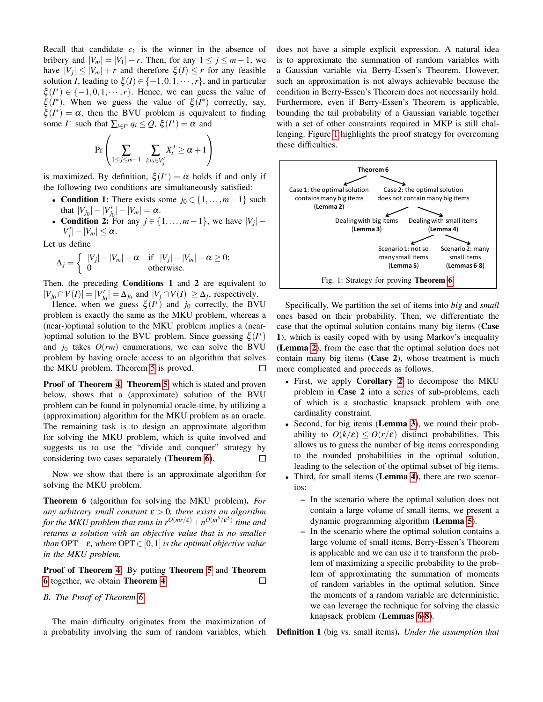Recall that candidate  $c_1$  is the winner in the absence of bribery and  $|V_m| = |V_1| - r$ . Then, for any  $1 \le j \le m - 1$ , we have  $|V_j| \leq |V_m| + r$  and therefore  $\xi(I) \leq r$  for any feasible solution *I*, leading to  $\xi$  (*I*)  $\in$  {-1,0,1,  $\cdots$ , *r*}, and in particular  $\xi(I^*) \in \{-1, 0, 1, \dots, r\}$ . Hence, we can guess the value of  $\xi(I^*)$ . When we guess the value of  $\xi(I^*)$  correctly, say,  $\xi(I^*) = \alpha$ , then the BVU problem is equivalent to finding some *I*<sup>\*</sup> such that  $\sum_{i \in I^*} q_i \leq Q$ ,  $\xi(I^*) = \alpha$  and

$$
\Pr\left(\sum_{1\leq j\leq m-1}\sum_{i:v_i\in V'_j}X_i^j\geq\alpha+1\right)
$$

is maximized. By definition,  $\xi(I^*) = \alpha$  holds if and only if the following two conditions are simultaneously satisfied:

- **Condition 1:** There exists some  $j_0 \in \{1, \ldots, m-1\}$  such that  $|V_{j_0}|-|V'_{j_0}|-|V_m|=\alpha$ .
- Condition 2: For any  $j \in \{1, \ldots, m-1\}$ , we have  $|V_j|$   $|V'_j| - |V_m| \leq \alpha.$

Let us define

$$
\Delta_j = \left\{ \begin{array}{ll} |V_j| - |V_m| - \alpha & \text{if } |V_j| - |V_m| - \alpha \ge 0; \\ 0 & \text{otherwise.} \end{array} \right.
$$

Then, the preceding **Conditions 1** and 2 are equivalent to  $|V_{j_0} \cap V(I)| = |V'_{j_0}| = \Delta_{j_0}$  and  $|V_j \cap V(I)| \ge \Delta_j$ , respectively.

Hence, when we guess  $\xi(I^*)$  and  $j_0$  correctly, the BVU problem is exactly the same as the MKU problem, whereas a (near-)optimal solution to the MKU problem implies a (near- )optimal solution to the BVU problem. Since guessing  $\xi(I^*)$ and  $j_0$  takes  $O(rm)$  enumerations, we can solve the BVU problem by having oracle access to an algorithm that solves the MKU problem. Theorem [5](#page-4-1) is proved.  $\Box$ 

Proof of Theorem [4.](#page-4-0) Theorem [5](#page-4-1), which is stated and proven below, shows that a (approximate) solution of the BVU problem can be found in polynomial oracle-time, by utilizing a (approximation) algorithm for the MKU problem as an oracle. The remaining task is to design an approximate algorithm for solving the MKU problem, which is quite involved and suggests us to use the "divide and conquer" strategy by considering two cases separately (Theorem [6](#page-5-0)).  $\Box$ 

Now we show that there is an approximate algorithm for solving the MKU problem.

<span id="page-5-0"></span>Theorem 6 (algorithm for solving the MKU problem). *For any arbitrary small constant* ε > 0*, there exists an algorithm for the MKU problem that runs in*  $r^{O(mr/\varepsilon)}+n^{O(m^5/\varepsilon^5)}$  *time and returns a solution with an objective value that is no smaller than* OPT  $-\varepsilon$ *, where* OPT  $\in [0,1]$  *is the optimal objective value in the MKU problem.*

Proof of Theorem [4.](#page-4-0) By putting Theorem [5](#page-4-1) and Theorem [6](#page-5-0) together, we obtain Theorem [4](#page-4-0).  $\Box$ 

## *B. The Proof of Theorem [6](#page-5-0)*

The main difficulty originates from the maximization of a probability involving the sum of random variables, which does not have a simple explicit expression. A natural idea is to approximate the summation of random variables with a Gaussian variable via Berry-Essen's Theorem. However, such an approximation is not always achievable because the condition in Berry-Essen's Theorem does not necessarily hold. Furthermore, even if Berry-Essen's Theorem is applicable, bounding the tail probability of a Gaussian variable together with a set of other constraints required in MKP is still challenging. Figure [1](#page-5-1) highlights the proof strategy for overcoming these difficulties.

<span id="page-5-1"></span>

Specifically, We partition the set of items into *big* and *small* ones based on their probability. Then, we differentiate the case that the optimal solution contains many big items (Case 1), which is easily coped with by using Markov's inequality (Lemma [2](#page-6-0)), from the case that the optimal solution does not contain many big items (Case 2), whose treatment is much more complicated and proceeds as follows.

- First, we apply **Corollary** [2](#page-2-4) to decompose the MKU problem in Case 2 into a series of sub-problems, each of which is a stochastic knapsack problem with one cardinality constraint.
- Second, for big items (Lemma [3](#page-6-1)), we round their probability to  $O(k/\varepsilon) \leq O(r/\varepsilon)$  distinct probabilities. This allows us to guess the number of big items corresponding to the rounded probabilities in the optimal solution, leading to the selection of the optimal subset of big items.
- Third, for small items (Lemma [4](#page-6-2)), there are two scenarios:
	- In the scenario where the optimal solution does not contain a large volume of small items, we present a dynamic programming algorithm (Lemma [5](#page-6-3)).
	- In the scenario where the optimal solution contains a large volume of small items, Berry-Essen's Theorem is applicable and we can use it to transform the problem of maximizing a specific probability to the problem of approximating the summation of moments of random variables in the optimal solution. Since the moments of a random variable are deterministic, we can leverage the technique for solving the classic knapsack problem (Lemmas [6](#page-8-0)[-8](#page-8-1)).

Definition 1 (big vs. small items). *Under the assumption that*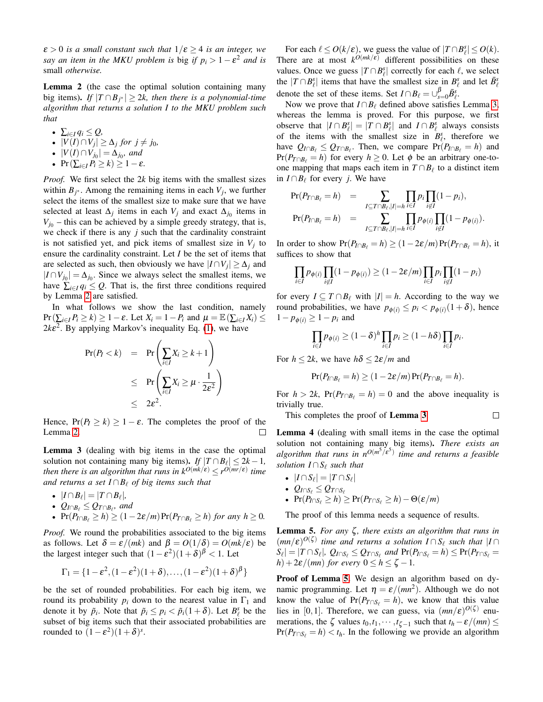$\varepsilon > 0$  *is a small constant such that*  $1/\varepsilon \geq 4$  *is an integer, we say an item in the MKU problem is big if*  $p_i > 1 - \varepsilon^2$  *and is* small *otherwise.*

<span id="page-6-0"></span>Lemma 2 (the case the optimal solution containing many big items). *If*  $|T ∩ B_{j^*}| ≥ 2k$ , then there is a polynomial-time *algorithm that returns a solution I to the MKU problem such that*

• 
$$
\sum_{i\in I}q_i\leq Q,
$$

- $|V(I) \cap V_j|$  ≥  $\Delta_j$  *for*  $j \neq j_0$ *,*
- $|V(I) \cap V_{j_0}| = \Delta_{j_0}$ , and
- Pr $(\sum_{i\in I} P_i \geq k) \geq 1-\varepsilon$ .

*Proof.* We first select the 2*k* big items with the smallest sizes within  $B_{j^*}$ . Among the remaining items in each  $V_j$ , we further select the items of the smallest size to make sure that we have selected at least  $\Delta_j$  items in each  $V_j$  and exact  $\Delta_{j_0}$  items in  $V_{j_0}$  – this can be achieved by a simple greedy strategy, that is, we check if there is any  $j$  such that the cardinality constraint is not satisfied yet, and pick items of smallest size in  $V_j$  to ensure the cardinality constraint. Let *I* be the set of items that are selected as such, then obviously we have  $|I \cap V_j| \geq \Delta_j$  and  $|I \cap V_{j_0}| = \Delta_{j_0}$ . Since we always select the smallest items, we have  $\sum_{i \in I} q_i \leq Q$ . That is, the first three conditions required by Lemma [2](#page-6-0) are satisfied.

In what follows we show the last condition, namely  $Pr(\sum_{i \in I} P_i \ge k) \ge 1 - \varepsilon$ . Let  $X_i = 1 - P_i$  and  $\mu = \mathbb{E}(\sum_{i \in I} X_i) \le k$  $2k\varepsilon^2$ . By applying Markov's inequality Eq. [\(1\)](#page-1-0), we have

$$
\begin{array}{rcl}\n\Pr(P_I < k) & = & \Pr\left(\sum_{i \in I} X_i \ge k+1\right) \\
& \le \quad \Pr\left(\sum_{i \in I} X_i \ge \mu \cdot \frac{1}{2\varepsilon^2}\right) \\
& \le \quad 2\varepsilon^2.\n\end{array}
$$

Hence,  $Pr(P_I \ge k) \ge 1 - \varepsilon$ . The completes the proof of the Lemma [2.](#page-6-0) □

<span id="page-6-1"></span>Lemma 3 (dealing with big items in the case the optimal solution not containing many big items). *If*  $|T \cap B_\ell| \leq 2k - 1$ , *then there is an algorithm that runs in*  $k^{O(mk/\varepsilon)} \le r^{O(mr/\varepsilon)}$  *time and returns a set*  $I ∩ B$ <sup> $\ell$ </sup> *of big items such that* 

- $|I \cap B_{\ell}| = |T \cap B_{\ell}|,$
- $Q_{I \cap B_{\ell}} \leq Q_{T \cap B_{\ell}}$ *, and*
- $\Pr(P_{I \cap B} \ge h) \ge (1 2\varepsilon/m)\Pr(P_{T \cap B} \ge h)$  *for any h*  $\ge 0$ *.*

*Proof.* We round the probabilities associated to the big items as follows. Let  $\delta = \varepsilon / (mk)$  and  $\beta = O(1/\delta) = O(mk/\varepsilon)$  be the largest integer such that  $(1 - \varepsilon^2)(1 + \delta)^\beta < 1$ . Let

$$
\Gamma_1 = \{1-\epsilon^2, (1-\epsilon^2)(1+\delta), \ldots, (1-\epsilon^2)(1+\delta)^\beta\}
$$

be the set of rounded probabilities. For each big item, we round its probability  $p_i$  down to the nearest value in  $\Gamma_1$  and denote it by  $\tilde{p}_i$ . Note that  $\tilde{p}_i \leq p_i < \tilde{p}_i(1+\delta)$ . Let  $B_\ell^s$  be the subset of big items such that their associated probabilities are rounded to  $(1 - \varepsilon^2)(1 + \delta)^s$ .

For each  $\ell \le O(k/\varepsilon)$ , we guess the value of  $|T \cap B_{\ell}^s| \le O(k)$ . There are at most  $k^{O(mk/\varepsilon)}$  different possibilities on these values. Once we guess  $|T \cap B^s_{\ell}|$  correctly for each  $\ell$ , we select the  $|T \cap B^s_\ell|$  items that have the smallest size in  $B^s_\ell$  and let  $\bar{B}^s_\ell$ denote the set of these items. Set  $I \cap B_\ell = \bigcup_{s=0}^{\beta} \bar{B}_{\ell}^s$ .

Now we prove that  $I \cap B_\ell$  defined above satisfies Lemma [3,](#page-6-1) whereas the lemma is proved. For this purpose, we first observe that  $|I \cap B^s_{\ell}| = |T \cap B^s_{\ell}|$  and  $I \cap B^s_{\ell}$  always consists of the items with the smallest size in  $B_{\ell}^s$ , therefore we have  $Q_{I \cap B_\ell} \leq Q_{T \cap B_\ell}$ . Then, we compare  $Pr(P_{I \cap B_\ell} = h)$  and  $Pr(P_{T \cap B}) = h$  for every  $h \geq 0$ . Let  $\phi$  be an arbitrary one-toone mapping that maps each item in  $T \cap B_\ell$  to a distinct item in *I* ∩  $B_{\ell}$  for every *j*. We have

$$
\Pr(P_{T \cap B_\ell} = h) = \sum_{I \subseteq T \cap B_\ell, |I| = h} \prod_{i \in I} p_i \prod_{i \notin I} (1 - p_i),
$$
  

$$
\Pr(P_{I \cap B_\ell} = h) = \sum_{I \subseteq T \cap B_\ell, |I| = h} \prod_{i \in I} p_{\phi(i)} \prod_{i \notin I} (1 - p_{\phi(i)}).
$$

In order to show  $Pr(P_{I \cap B} = h) \ge (1 - 2\varepsilon/m)Pr(P_{T \cap B} = h)$ , it suffices to show that

$$
\prod_{i\in I} p_{\phi(i)} \prod_{i\not\in I} (1-p_{\phi(i)}) \ge (1-2\varepsilon/m) \prod_{i\in I} p_i \prod_{i\not\in I} (1-p_i)
$$

for every  $I \subseteq T \cap B_\ell$  with  $|I| = h$ . According to the way we round probabilities, we have  $p_{\phi(i)} \leq p_i < p_{\phi(i)}(1+\delta)$ , hence  $1 - p_{\phi(i)} \geq 1 - p_i$  and

$$
\prod_{i\in I} p_{\phi(i)} \ge (1-\delta)^h \prod_{i\in I} p_i \ge (1-h\delta) \prod_{i\in I} p_i.
$$

For  $h \leq 2k$ , we have  $h\delta \leq 2\varepsilon/m$  and

$$
\Pr(P_{I\cap B_\ell}=h)\geq (1-2\varepsilon/m)\Pr(P_{T\cap B_\ell}=h).
$$

For  $h > 2k$ ,  $Pr(P_{T \cap B} = h) = 0$  and the above inequality is trivially true.

 $\Box$ 

This completes the proof of Lemma [3](#page-6-1).

<span id="page-6-2"></span>Lemma 4 (dealing with small items in the case the optimal solution not containing many big items). *There exists an algorithm that runs in nO*(*<sup>m</sup>* <sup>5</sup>/ε 5 ) *time and returns a feasible solution*  $I \cap S_\ell$  *such that* 

- $|I \cap S_\ell| = |T \cap S_\ell|$
- $Q_{I \cap S_{\ell}} \leq Q_{T \cap S_{\ell}}$
- Pr( $P_{I \cap S_{\ell}} \geq h$ ) ≥ Pr( $P_{T \cap S_{\ell}} \geq h$ ) Θ(ε/*m*)

The proof of this lemma needs a sequence of results.

<span id="page-6-3"></span>Lemma 5. *For any* ζ *, there exists an algorithm that runs in*  $(mn/\varepsilon)^{O(\zeta)}$  *time and returns a solution*  $I \cap S_\ell$  *such that*  $|I \cap S_\ell|$  $|S_{\ell}| = |T \cap S_{\ell}|$ ,  $Q_{I \cap S_{\ell}} \leq Q_{T \cap S_{\ell}}$  and  $Pr(P_{I \cap S_{\ell}} = h) \leq Pr(P_{T \cap S_{\ell}} = h)$ *h*) +  $2\varepsilon/(mn)$  *for every*  $0 \le h \le \zeta - 1$ *.* 

Proof of Lemma [5.](#page-6-3) We design an algorithm based on dynamic programming. Let  $\eta = \varepsilon/(mn^2)$ . Although we do not know the value of  $Pr(P_{T \cap S_{\ell}} = h)$ , we know that this value lies in [0,1]. Therefore, we can guess, via  $(mn/\varepsilon)^{O(\zeta)}$  enumerations, the  $\zeta$  values  $t_0, t_1, \dots, t_{\zeta-1}$  such that  $t_h - \varepsilon/(mn) \le$  $Pr(P_{T \cap S_\ell} = h) < t_h$ . In the following we provide an algorithm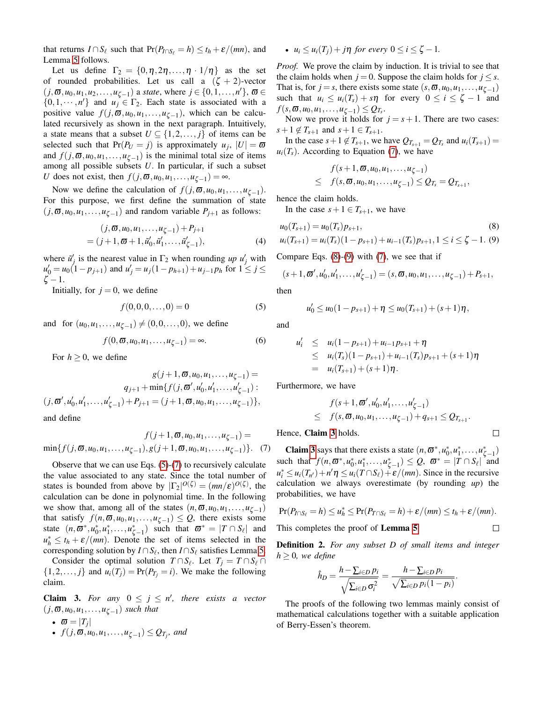that returns  $I \cap S_\ell$  such that  $Pr(P_{I \cap S_\ell} = h) \leq t_h + \varepsilon/(mn)$ , and Lemma [5](#page-6-3) follows.

Let us define  $\Gamma_2 = \{0, \eta, 2\eta, \ldots, \eta \cdot 1/\eta\}$  as the set of rounded probabilities. Let us call a  $(\zeta + 2)$ -vector  $(j, \overline{\omega}, u_0, u_1, u_2, \ldots, u_{\zeta-1})$  a *state*, where  $j \in \{0, 1, \ldots, n'\}, \overline{\omega} \in$  $\{0,1,\dots,n'\}$  and  $u_j \in \Gamma_2$ . Each state is associated with a positive value  $f(j, \mathbf{\overline{\omega}}, u_0, u_1, \ldots, u_{\zeta-1})$ , which can be calculated recursively as shown in the next paragraph. Intuitively, a state means that a subset  $U \subseteq \{1, 2, ..., j\}$  of items can be selected such that  $Pr(P_U = j)$  is approximately  $u_j$ ,  $|U| = \varpi$ and  $f(j, \mathbf{\overline{\omega}}, u_0, u_1, \dots, u_{\zeta-1})$  is the minimal total size of items among all possible subsets *U*. In particular, if such a subset *U* does not exist, then  $f(j, \mathbf{\overline{\omega}}, u_0, u_1, \ldots, u_{\zeta-1}) = \infty$ .

Now we define the calculation of  $f(j, \mathbf{\overline{\omega}}, u_0, u_1, \ldots, u_{\zeta-1})$ . For this purpose, we first define the summation of state  $(j, \boldsymbol{\overline{\omega}}, u_0, u_1, \ldots, u_{\zeta-1})$  and random variable  $P_{j+1}$  as follows:

$$
(j, \overline{\omega}, u_0, u_1, \dots, u_{\zeta - 1}) + P_{j+1}
$$
  
= (j + 1,  $\overline{\omega}$  + 1,  $\tilde{u}'_0$ ,  $\tilde{u}'_1$ , ...,  $\tilde{u}'_{\zeta - 1}$ ), (4)

where  $\tilde{u}'_j$  is the nearest value in  $\Gamma_2$  when rounding *up u'<sub>j</sub>* with  $u'_0 = u_0(1 - p_{j+1})$  and  $u'_j = u_j(1 - p_{h+1}) + u_{j-1}p_h$  for  $1 \le j \le n$  $\zeta - 1$ .

Initially, for  $j = 0$ , we define

<span id="page-7-0"></span>
$$
f(0,0,0,\ldots,0) = 0\tag{5}
$$

and for  $(u_0, u_1, \ldots, u_{\zeta-1}) \neq (0, 0, \ldots, 0)$ , we define

<span id="page-7-1"></span>
$$
f(0, \boldsymbol{\varpi}, u_0, u_1, \dots, u_{\zeta - 1}) = \infty.
$$
 (6)

For  $h \geq 0$ , we define

$$
g(j+1, \mathbf{\overline{\omega}}, u_0, u_1, \dots, u_{\zeta-1}) =
$$
  
\n
$$
q_{j+1} + \min\{f(j, \mathbf{\overline{\omega}}', u'_0, u'_1, \dots, u'_{\zeta-1}) : (j, \mathbf{\overline{\omega}}', u'_0, u'_1, \dots, u'_{\zeta-1})\},
$$
  
\n
$$
i, j, \mathbf{\overline{\omega}}, \mathbf{\overline{\omega}}_j, \mathbf{\overline{\omega}}_j, \mathbf{\overline{\omega}}_j, \mathbf{\overline{\omega}}_j, \mathbf{\overline{\omega}}_j, \mathbf{\overline{\omega}}_j, \mathbf{\overline{\omega}}_j, \mathbf{\overline{\omega}}_j, \mathbf{\overline{\omega}}_j, \mathbf{\overline{\omega}}_j, \mathbf{\overline{\omega}}_j, \mathbf{\overline{\omega}}_j, \mathbf{\overline{\omega}}_j, \mathbf{\overline{\omega}}_j, \mathbf{\overline{\omega}}_j, \mathbf{\overline{\omega}}_j, \mathbf{\overline{\omega}}_j, \mathbf{\overline{\omega}}_j, \mathbf{\overline{\omega}}_j, \mathbf{\overline{\omega}}_j, \mathbf{\overline{\omega}}_j, \mathbf{\overline{\omega}}_j, \mathbf{\overline{\omega}}_j, \mathbf{\overline{\omega}}_j, \mathbf{\overline{\omega}}_j, \mathbf{\overline{\omega}}_j, \mathbf{\overline{\omega}}_j, \mathbf{\overline{\omega}}_j, \mathbf{\overline{\omega}}_j, \mathbf{\overline{\omega}}_j, \mathbf{\overline{\omega}}_j, \mathbf{\overline{\omega}}_j, \mathbf{\overline{\omega}}_j, \mathbf{\overline{\omega}}_j, \mathbf{\overline{\omega}}_j, \mathbf{\overline{\omega}}_j, \mathbf{\overline{\omega}}_j, \mathbf{\overline{\omega}}_j, \mathbf{\overline{\omega}}_j, \mathbf{\overline{\omega}}_j, \mathbf{\overline{\omega}}_j, \mathbf{\overline{\omega}}_j, \mathbf{\overline{\omega}}_j, \mathbf{\overline{\omega}}_j, \mathbf{\overline{\omega}}_j, \mathbf{\overline{\omega}}_j, \mathbf{\overline{\omega}}_j, \mathbf{\overline{\omega}}_j, \mathbf{\overline{\omega}}_j, \mathbf{\overline{\omega}}_j, \mathbf{\overline{\omega
$$

and define

$$
f(j+1, \overline{\omega}, u_0, u_1, \dots, u_{\zeta-1}) = \min\{f(j, \overline{\omega}, u_0, u_1, \dots, u_{\zeta-1}), g(j+1, \overline{\omega}, u_0, u_1, \dots, u_{\zeta-1})\}.
$$
 (7)

Observe that we can use Eqs. [\(5\)](#page-7-0)-[\(7\)](#page-7-1) to recursively calculate the value associated to any state. Since the total number of states is bounded from above by  $|\Gamma_2|^{O(\zeta)} = (mn/\varepsilon)^{O(\zeta)}$ , the calculation can be done in polynomial time. In the following we show that, among all of the states  $(n, \varpi, u_0, u_1, \ldots, u_{\zeta-1})$ that satisfy  $f(n, \overline{\omega}, u_0, u_1, \ldots, u_{\zeta-1}) \leq Q$ , there exists some state  $(n, \varpi^*, u_0^*, u_1^*, \ldots, u_{\zeta-1}^*)$  such that  $\varpi^* = |T \cap S_\ell|$  and  $u_h^* \leq t_h + \varepsilon/(mn)$ . Denote the set of items selected in the corresponding solution by  $I \cap S_\ell$ , then  $I \cap S_\ell$  satisfies Lemma [5.](#page-6-3)

Consider the optimal solution  $T \cap S_{\ell}$ . Let  $T_j = T \cap S_{\ell} \cap$  $\{1,2,\ldots,j\}$  and  $u_i(T_j) = Pr(P_{T_j} = i)$ . We make the following claim.

<span id="page-7-3"></span>**Claim 3.** For any  $0 \le j \le n'$ , there exists a vector  $(j, \varpi, u_0, u_1, \ldots, u_{\zeta-1})$  *such that* 

- $\bullet \ \ \varpi = |T_j|$
- $\bullet$  *f*(*j*,  $\varpi$ ,  $u_0$ ,  $u_1$ , ...,  $u_{\zeta-1}$ ) ≤  $Q_{T_j}$ , and

•  $u_i \leq u_i(T_i) + j\eta$  for every  $0 \leq i \leq \zeta - 1$ .

*Proof.* We prove the claim by induction. It is trivial to see that the claim holds when  $j = 0$ . Suppose the claim holds for  $j \leq s$ . That is, for *j* = *s*, there exists some state  $(s, \boldsymbol{\omega}, u_0, u_1, \ldots, u_{\zeta-1})$ such that  $u_i \leq u_i(T_s) + s\eta$  for every  $0 \leq i \leq \zeta - 1$  and  $f(s, \mathbf{\overline{\omega}}, u_0, u_1, \ldots, u_{\zeta-1}) \leq Q_{T_s}.$ 

Now we prove it holds for  $j = s + 1$ . There are two cases:  $s+1 \notin T_{s+1}$  and  $s+1 \in T_{s+1}$ .

In the case  $s+1 \notin T_{s+1}$ , we have  $Q_{T_{s+1}} = Q_{T_s}$  and  $u_i(T_{s+1}) =$  $u_i(T_s)$ . According to Equation [\(7\)](#page-7-1), we have

$$
f(s+1,\boldsymbol{\varpi},u_0,u_1,\ldots,u_{\zeta-1})
$$
  
\n
$$
\leq f(s,\boldsymbol{\varpi},u_0,u_1,\ldots,u_{\zeta-1}) \leq Q_{T_s} = Q_{T_{s+1}},
$$

hence the claim holds.

In the case  $s + 1 \in T_{s+1}$ , we have

<span id="page-7-2"></span>
$$
u_0(T_{s+1}) = u_0(T_s)p_{s+1},
$$
\n
$$
u_i(T_{s+1}) = u_i(T_s)(1 - p_{s+1}) + u_{i-1}(T_s)p_{s+1}, 1 \le i \le \zeta - 1.
$$
\n(8)

Compare Eqs. [\(8\)](#page-7-2)-[\(9\)](#page-7-2) with [\(7\)](#page-7-1), we see that if

$$
(s+1,\mathbf{\varpi}',u_0',u_1',\ldots,u_{\zeta-1}')=(s,\mathbf{\varpi},u_0,u_1,\ldots,u_{\zeta-1})+P_{s+1},
$$

then

$$
u'_0 \leq u_0(1-p_{s+1}) + \eta \leq u_0(T_{s+1}) + (s+1)\eta,
$$

and

$$
u'_{i} \leq u_{i}(1-p_{s+1})+u_{i-1}p_{s+1}+\eta
$$
  
\n
$$
\leq u_{i}(T_{s})(1-p_{s+1})+u_{i-1}(T_{s})p_{s+1}+(s+1)\eta
$$
  
\n
$$
= u_{i}(T_{s+1})+(s+1)\eta.
$$

Furthermore, we have

$$
f(s+1,\varpi',u'_0,u'_1,\ldots,u'_{\zeta-1})
$$
  
\$\leq\$  $f(s,\varpi,u_0,u_1,\ldots,u_{\zeta-1})+q_{s+1}\leq Q_{T_{s+1}}.$ 

Hence, Claim [3](#page-7-3) holds.

**Claim [3](#page-7-3)** says that there exists a state  $(n, \boldsymbol{\omega}^*, u_0^*, u_1^*, \ldots, u_{\zeta-1}^*)$ such that  $f(n, \omega^*, u_0^*, u_1^*, \ldots, u_{\zeta-1}^*) \leq Q$ ,  $\omega^* = |T \cap S_\ell|$  and  $u_i^* \leq u_i(T_{n'}) + n'\eta \leq u_i(T \cap S_\ell) + \varepsilon/(mn)$ . Since in the recursive calculation we always overestimate (by rounding *up*) the probabilities, we have

$$
\Pr(P_{I \cap S_{\ell}} = h) \le u_h^* \le \Pr(P_{T \cap S_{\ell}} = h) + \varepsilon/(mn) \le t_h + \varepsilon/(mn).
$$
  
This completes the proof of Lemma 5.

This completes the proof of Lemma [5](#page-6-3).

Definition 2. *For any subset D of small items and integer*  $h \geq 0$ *, we define* 

$$
\hat{h}_D = \frac{h - \sum_{i \in D} p_i}{\sqrt{\sum_{i \in D} \sigma_i^2}} = \frac{h - \sum_{i \in D} p_i}{\sqrt{\sum_{i \in D} p_i (1 - p_i)}}.
$$

The proofs of the following two lemmas mainly consist of mathematical calculations together with a suitable application of Berry-Essen's theorem.

 $\Box$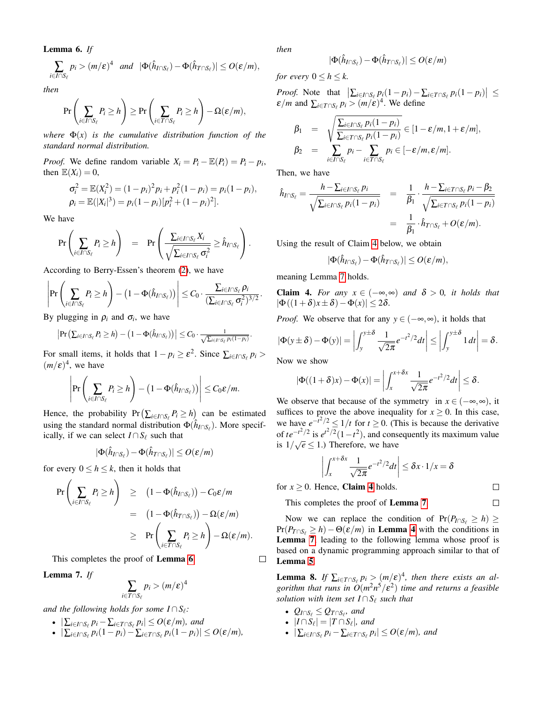<span id="page-8-0"></span>Lemma 6. *If*

$$
\sum_{i\in I\cap S_{\ell}}p_i > (m/\varepsilon)^4 \quad \text{and} \quad |\Phi(\hat{h}_{I\cap S_{\ell}})-\Phi(\hat{h}_{T\cap S_{\ell}})| \leq O(\varepsilon/m),
$$

*then*

$$
\Pr\left(\sum_{i\in I\cap S_{\ell}} P_i \ge h\right) \ge \Pr\left(\sum_{i\in T\cap S_{\ell}} P_i \ge h\right) - \Omega(\varepsilon/m),
$$

*where*  $\Phi(x)$  *is the cumulative distribution function of the standard normal distribution.*

*Proof.* We define random variable  $X_i = P_i - \mathbb{E}(P_i) = P_i - p_i$ , then  $\mathbb{E}(X_i) = 0$ ,

$$
\sigma_i^2 = \mathbb{E}(X_i^2) = (1 - p_i)^2 p_i + p_i^2 (1 - p_i) = p_i (1 - p_i),
$$
  
\n
$$
\rho_i = \mathbb{E}(|X_i|^3) = p_i (1 - p_i) [p_i^2 + (1 - p_i)^2].
$$

We have

$$
\Pr\left(\sum_{i\in I\cap S_{\ell}} P_i \geq h\right) = \Pr\left(\frac{\sum_{i\in I\cap S_{\ell}} X_i}{\sqrt{\sum_{i\in I\cap S_{\ell}} \sigma_i^2}} \geq \hat{h}_{I\cap S_{\ell}}\right).
$$

According to Berry-Essen's theorem [\(2\)](#page-1-1), we have

$$
\left|\Pr\left(\sum_{i\in I\cap S_\ell}P_i\geq h\right)-\left(1-\Phi(\hat{h}_{I\cap S_\ell})\right)\right|\leq C_0\cdot\frac{\sum_{i\in I\cap S_\ell}\rho_i}{(\sum_{i\in I\cap S_\ell}\sigma_i^2)^{3/2}}.
$$

By plugging in  $\rho_i$  and  $\sigma_i$ , we have

$$
\left|\Pr\left(\sum_{i\in I\cap S_{\ell}}P_i\geq h\right)-\left(1-\Phi(\hat{h}_{I\cap S_{\ell}})\right)\right|\leq C_0\cdot\frac{1}{\sqrt{\sum_{i\in I\cap S_{\ell}}p_i(1-p_i)}}.
$$

For small items, it holds that  $1 - p_i \ge \varepsilon^2$ . Since  $\sum_{i \in I \cap S_\ell} p_i >$  $(m/\varepsilon)^4$ , we have

$$
\left|\Pr\left(\sum_{i\in I\cap S_{\ell}}P_i\geq h\right)-\left(1-\Phi(\hat{h}_{I\cap S_{\ell}})\right)\right|\leq C_0\epsilon/m.
$$

Hence, the probability  $Pr\left(\sum_{i \in I \cap S_\ell} P_i \geq h\right)$  can be estimated using the standard normal distribution  $\Phi(\hat{h}_{I \cap S_{\ell}})$ . More specifically, if we can select  $I \cap S_\ell$  such that

$$
|\Phi(\hat{h}_{I\cap S_{\ell}})-\Phi(\hat{h}_{T\cap S_{\ell}})|\leq O(\varepsilon/m)
$$

for every  $0 \leq h \leq k$ , then it holds that

$$
\begin{array}{rcl}\n\Pr\left(\sum_{i\in I\cap S_{\ell}} P_i \geq h\right) & \geq & \left(1 - \Phi(\hat{h}_{I\cap S_{\ell}})\right) - C_0 \varepsilon/m \\
& = & \left(1 - \Phi(\hat{h}_{T\cap S_{\ell}})\right) - \Omega(\varepsilon/m) \\
& \geq & \Pr\left(\sum_{i\in T\cap S_{\ell}} P_i \geq h\right) - \Omega(\varepsilon/m).\n\end{array}
$$

This completes the proof of Lemma [6](#page-8-0).

<span id="page-8-3"></span>Lemma 7. *If*

$$
\sum_{i \in T \cap S_{\ell}} p_i > (m/\varepsilon)^4
$$

*and the following holds for some*  $I \cap S_{\ell}$ *:* 

- $|\sum_{i\in I\cap S_{\ell}} p_i \sum_{i\in T\cap S_{\ell}} p_i| \leq O(\varepsilon/m)$ *, and*
- $|\sum_{i \in I \cap S_\ell} p_i(1-p_i) \sum_{i \in T \cap S_\ell} p_i(1-p_i)| \le O(\varepsilon/m)$ *,*

*then*

$$
|\Phi(\hat{h}_{I\cap S_{\ell}})-\Phi(\hat{h}_{T\cap S_{\ell}})|\leq O(\varepsilon/m)
$$

*for every*  $0 \leq h \leq k$ .

*Proof.* Note that  $\left| \sum_{i \in I \cap S_{\ell}} p_i(1-p_i) - \sum_{i \in T \cap S_{\ell}} p_i(1-p_i) \right| \leq$  $\mathcal{E}/m$  and  $\sum_{i \in T \cap S_{\ell}} p_i > (m/\tilde{\varepsilon})^4$ . We define

$$
\beta_1 = \sqrt{\frac{\sum_{i \in I \cap S_{\ell}} p_i(1-p_i)}{\sum_{i \in I \cap S_{\ell}} p_i(1-p_i)}} \in [1-\varepsilon/m, 1+\varepsilon/m],
$$
  
\n
$$
\beta_2 = \sum_{i \in I \cap S_{\ell}} p_i - \sum_{i \in T \cap S_{\ell}} p_i \in [-\varepsilon/m, \varepsilon/m].
$$

Then, we have

$$
\hat{h}_{I \cap S_{\ell}} = \frac{h - \sum_{i \in I \cap S_{\ell}} p_i}{\sqrt{\sum_{i \in I \cap S_{\ell}} p_i (1 - p_i)}} = \frac{1}{\beta_1} \cdot \frac{h - \sum_{i \in T \cap S_{\ell}} p_i - \beta_2}{\sqrt{\sum_{i \in T \cap S_{\ell}} p_i (1 - p_i)}} = \frac{1}{\beta_1} \cdot \hat{h}_{T \cap S_{\ell}} + O(\varepsilon/m).
$$

Using the result of Claim [4](#page-8-2) below, we obtain

$$
|\Phi(\hat{h}_{I\cap S_\ell})-\Phi(\hat{h}_{T\cap S_\ell})|\leq O(\varepsilon/m),
$$

meaning Lemma [7](#page-8-3) holds.

<span id="page-8-2"></span>Claim 4. *For any*  $x \in (-\infty, \infty)$  *and*  $\delta > 0$ *, it holds that*  $|\Phi((1+\delta)x \pm \delta) - \Phi(x)| \leq 2\delta$ .

*Proof.* We observe that for any  $y \in (-\infty, \infty)$ , it holds that

$$
|\Phi(y \pm \delta) - \Phi(y)| = \left| \int_{y}^{y \pm \delta} \frac{1}{\sqrt{2\pi}} e^{-t^2/2} dt \right| \le \left| \int_{y}^{y \pm \delta} 1 dt \right| = \delta.
$$

Now we show

$$
|\Phi((1+\delta)x)-\Phi(x)|=\left|\int_x^{x+\delta x}\frac{1}{\sqrt{2\pi}}e^{-t^2/2}dt\right|\leq \delta.
$$

We observe that because of the symmetry in  $x \in (-\infty, \infty)$ , it suffices to prove the above inequality for  $x \ge 0$ . In this case, we have  $e^{-t^2/2} \leq 1/t$  for  $t \geq 0$ . (This is because the derivative of  $te^{-t^2/2}$  is  $e^{t^2/2}(1-t^2)$ , and consequently its maximum value is  $1/\sqrt{e} \leq 1$ .) Therefore, we have

$$
\left| \int_{x}^{x+\delta x} \frac{1}{\sqrt{2\pi}} e^{-t^2/2} dt \right| \leq \delta x \cdot 1/x = \delta
$$

 $\Box$  $\Box$ 

for  $x \ge 0$ . Hence, **Claim [4](#page-8-2)** holds.

This completes the proof of Lemma [7](#page-8-3).

Now we can replace the condition of  $Pr(P_{I \cap S_f} \ge h) \ge$  $Pr(P_{T \cap S_\ell} \geq h) - \Theta(\varepsilon/m)$  in **Lemma [4](#page-6-2)** with the conditions in Lemma [7](#page-8-3), leading to the following lemma whose proof is based on a dynamic programming approach similar to that of Lemma [5](#page-6-3).

<span id="page-8-1"></span>**Lemma 8.** If  $\sum_{i \in T \cap S_{\ell}} p_i > (m/\varepsilon)^4$ , then there exists an al*gorithm that runs in O*(*m* 2*n* <sup>5</sup>/ε 2 ) *time and returns a feasible solution with item set*  $I \cap S_\ell$  *such that* 

- $Q_{I \cap S_{\ell}} \leq Q_{T \cap S_{\ell}}$ *, and*
- $|I \cap S_\ell| = |T \cap S_\ell|$ *, and*
- $\bullet$   $|\sum_{i \in I \cap S_{\ell}} p_i \sum_{i \in T \cap S_{\ell}} p_i| \leq O(\varepsilon/m)$ *, and*

 $\Box$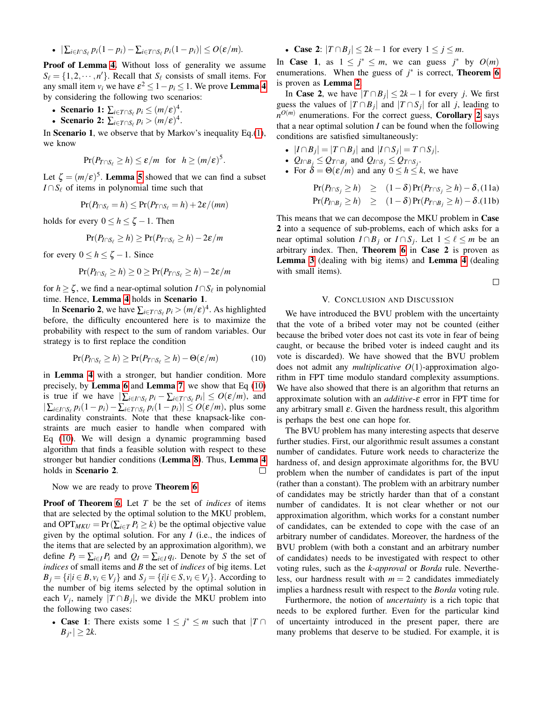•  $|\sum_{i \in I \cap S_{\ell}} p_i(1-p_i) - \sum_{i \in T \cap S_{\ell}} p_i(1-p_i)| \le O(\varepsilon/m)$ .

Proof of Lemma [4.](#page-6-2) Without loss of generality we assume  $S_{\ell} = \{1, 2, \cdots, n'\}$ . Recall that  $S_{\ell}$  consists of small items. For any small item  $v_i$  we have  $\varepsilon^2 \leq 1 - p_i \leq 1$ . We prove **Lemma [4](#page-6-2)** by considering the following two scenarios:

- Scenario 1:  $\sum_{i \in T \cap S_{\ell}} p_i \leq (m/\varepsilon)^4$ .
- Scenario 2:  $\sum_{i \in T \cap S_{\ell}} p_i > (m/\varepsilon)^4$ .

In Scenario 1, we observe that by Markov's inequality  $Eq.(1)$  $Eq.(1)$ , we know

$$
\Pr(P_{T\cap S_{\ell}}\geq h)\leq \varepsilon/m \ \ \text{for} \ \ h\geq (m/\varepsilon)^5.
$$

Let  $\zeta = (m/\varepsilon)^5$ . **Lemma [5](#page-6-3)** showed that we can find a subset *I* ∩  $S_\ell$  of items in polynomial time such that

$$
\Pr(P_{I\cap S_\ell}=h)\leq \Pr(P_{T\cap S_\ell}=h)+2\varepsilon/(mn)
$$

holds for every  $0 \leq h \leq \zeta - 1$ . Then

$$
\Pr(P_{I\cap S_\ell} \geq h) \geq \Pr(P_{T\cap S_\ell} \geq h) - 2\varepsilon/m
$$

for every  $0 \le h \le \zeta - 1$ . Since

$$
\Pr(P_{I\cap S_\ell} \geq h) \geq 0 \geq \Pr(P_{T\cap S_\ell} \geq h) - 2\varepsilon/m
$$

for  $h \geq \zeta$ , we find a near-optimal solution  $I \cap S_\ell$  in polynomial time. Hence, Lemma [4](#page-6-2) holds in Scenario 1.

In Scenario 2, we have  $\sum_{i \in T \cap S_{\ell}} p_i > (m/\varepsilon)^4$ . As highlighted before, the difficulty encountered here is to maximize the probability with respect to the sum of random variables. Our strategy is to first replace the condition

<span id="page-9-0"></span>
$$
\Pr(P_{I \cap S_{\ell}} \ge h) \ge \Pr(P_{T \cap S_{\ell}} \ge h) - \Theta(\varepsilon/m) \tag{10}
$$

in Lemma [4](#page-6-2) with a stronger, but handier condition. More precisely, by Lemma [6](#page-8-0) and Lemma [7](#page-8-3), we show that Eq [\(10\)](#page-9-0) is true if we have  $|\sum_{i \in I \cap S_\ell} p_i - \sum_{i \in T \cap S_\ell} p_i| \leq O(\varepsilon/m)$ , and  $|\sum_{i \in I \cap S_\ell} p_i(1-p_i) - \sum_{i \in T \cap S_\ell} p_i(1-p_i)|$  ≤  $O(\varepsilon/m)$ , plus some cardinality constraints. Note that these knapsack-like constraints are much easier to handle when compared with Eq [\(10\)](#page-9-0). We will design a dynamic programming based algorithm that finds a feasible solution with respect to these stronger but handier conditions (Lemma [8](#page-8-1)). Thus, Lemma [4](#page-6-2) holds in Scenario 2.  $\Box$ 

Now we are ready to prove Theorem [6](#page-5-0).

Proof of Theorem [6.](#page-5-0) Let *T* be the set of *indices* of items that are selected by the optimal solution to the MKU problem, and OPT<sub>MKU</sub> = Pr( $\sum_{i \in T} P_i \ge k$ ) be the optimal objective value given by the optimal solution. For any *I* (i.e., the indices of the items that are selected by an approximation algorithm), we define  $P_I = \sum_{i \in I} P_i$  and  $Q_I = \sum_{i \in I} q_i$ . Denote by *S* the set of *indices* of small items and *B* the set of *indices* of big items. Let  $B_i = \{i | i \in B, v_i \in V_i\}$  and  $S_i = \{i | i \in S, v_i \in V_i\}$ . According to the number of big items selected by the optimal solution in each  $V_j$ , namely  $|T \cap B_j|$ , we divide the MKU problem into the following two cases:

• Case 1: There exists some  $1 \leq j^* \leq m$  such that  $|T \cap$  $B$ <sup>*j*∗</sup>  $\geq 2k$ .

• **Case 2**:  $|T \cap B_j| \leq 2k - 1$  for every  $1 \leq j \leq m$ .

In Case 1, as  $1 \le j^* \le m$ , we can guess  $j^*$  by  $O(m)$ enumerations. When the guess of  $j^*$  is correct, **Theorem [6](#page-5-0)** is proven as Lemma [2](#page-6-0).

In **Case 2**, we have  $|T \cap B_j| \leq 2k - 1$  for every *j*. We first guess the values of  $|T \cap B_j|$  and  $|T \cap S_j|$  for all *j*, leading to  $n^{O(m)}$  enumerations. For the correct guess, **Corollary [2](#page-2-4)** says that a near optimal solution *I* can be found when the following conditions are satisfied simultaneously:

- $|I \cap B_j| = |T \cap B_j|$  and  $|I \cap S_j| = T \cap S_j|$ .
- $Q_{I \cap B_j} \leq Q_{T \cap B_j}$  and  $Q_{I \cap S_j} \leq Q_{T \cap S_j}$ .
- For  $\delta = \Theta(\varepsilon/m)$  and any  $0 \le h \le k$ , we have

$$
\begin{array}{lcl}\n\Pr(P_{I \cap S_j} \geq h) & \geq & (1 - \delta) \Pr(P_{T \cap S_j} \geq h) - \delta, \text{(11a)} \\
\Pr(P_{I \cap B_j} \geq h) & \geq & (1 - \delta) \Pr(P_{T \cap B_j} \geq h) - \delta. \text{(11b)}\n\end{array}
$$

This means that we can decompose the MKU problem in Case 2 into a sequence of sub-problems, each of which asks for a near optimal solution  $I \cap B_j$  or  $I \cap S_j$ . Let  $1 \leq \ell \leq m$  be an arbitrary index. Then, Theorem [6](#page-5-0) in Case 2 is proven as Lemma [3](#page-6-1) (dealing with big items) and Lemma [4](#page-6-2) (dealing with small items).

 $\Box$ 

## V. CONCLUSION AND DISCUSSION

We have introduced the BVU problem with the uncertainty that the vote of a bribed voter may not be counted (either because the bribed voter does not cast its vote in fear of being caught, or because the bribed voter is indeed caught and its vote is discarded). We have showed that the BVU problem does not admit any *multiplicative O*(1)-approximation algorithm in FPT time modulo standard complexity assumptions. We have also showed that there is an algorithm that returns an approximate solution with an *additive*-ε error in FPT time for any arbitrary small  $\varepsilon$ . Given the hardness result, this algorithm is perhaps the best one can hope for.

The BVU problem has many interesting aspects that deserve further studies. First, our algorithmic result assumes a constant number of candidates. Future work needs to characterize the hardness of, and design approximate algorithms for, the BVU problem when the number of candidates is part of the input (rather than a constant). The problem with an arbitrary number of candidates may be strictly harder than that of a constant number of candidates. It is not clear whether or not our approximation algorithm, which works for a constant number of candidates, can be extended to cope with the case of an arbitrary number of candidates. Moreover, the hardness of the BVU problem (with both a constant and an arbitrary number of candidates) needs to be investigated with respect to other voting rules, such as the *k-approval* or *Borda* rule. Nevertheless, our hardness result with  $m = 2$  candidates immediately implies a hardness result with respect to the *Borda* voting rule.

Furthermore, the notion of *uncertainty* is a rich topic that needs to be explored further. Even for the particular kind of uncertainty introduced in the present paper, there are many problems that deserve to be studied. For example, it is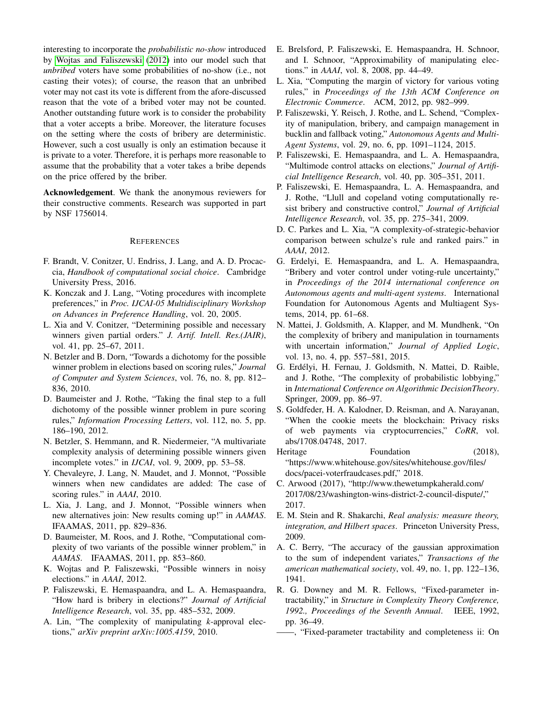interesting to incorporate the *probabilistic no-show* introduced by [Wojtas and Faliszewski](#page-10-9) [\(2012\)](#page-10-9) into our model such that *unbribed* voters have some probabilities of no-show (i.e., not casting their votes); of course, the reason that an unbribed voter may not cast its vote is different from the afore-discussed reason that the vote of a bribed voter may not be counted. Another outstanding future work is to consider the probability that a voter accepts a bribe. Moreover, the literature focuses on the setting where the costs of bribery are deterministic. However, such a cost usually is only an estimation because it is private to a voter. Therefore, it is perhaps more reasonable to assume that the probability that a voter takes a bribe depends on the price offered by the briber.

Acknowledgement. We thank the anonymous reviewers for their constructive comments. Research was supported in part by NSF 1756014.

#### **REFERENCES**

- <span id="page-10-0"></span>F. Brandt, V. Conitzer, U. Endriss, J. Lang, and A. D. Procaccia, *Handbook of computational social choice*. Cambridge University Press, 2016.
- <span id="page-10-1"></span>K. Konczak and J. Lang, "Voting procedures with incomplete preferences," in *Proc. IJCAI-05 Multidisciplinary Workshop on Advances in Preference Handling*, vol. 20, 2005.
- <span id="page-10-2"></span>L. Xia and V. Conitzer, "Determining possible and necessary winners given partial orders." *J. Artif. Intell. Res.(JAIR)*, vol. 41, pp. 25–67, 2011.
- <span id="page-10-3"></span>N. Betzler and B. Dorn, "Towards a dichotomy for the possible winner problem in elections based on scoring rules," *Journal of Computer and System Sciences*, vol. 76, no. 8, pp. 812– 836, 2010.
- <span id="page-10-4"></span>D. Baumeister and J. Rothe, "Taking the final step to a full dichotomy of the possible winner problem in pure scoring rules," *Information Processing Letters*, vol. 112, no. 5, pp. 186–190, 2012.
- <span id="page-10-5"></span>N. Betzler, S. Hemmann, and R. Niedermeier, "A multivariate complexity analysis of determining possible winners given incomplete votes." in *IJCAI*, vol. 9, 2009, pp. 53–58.
- <span id="page-10-6"></span>Y. Chevaleyre, J. Lang, N. Maudet, and J. Monnot, "Possible winners when new candidates are added: The case of scoring rules." in *AAAI*, 2010.
- <span id="page-10-7"></span>L. Xia, J. Lang, and J. Monnot, "Possible winners when new alternatives join: New results coming up!" in *AAMAS*. IFAAMAS, 2011, pp. 829–836.
- <span id="page-10-8"></span>D. Baumeister, M. Roos, and J. Rothe, "Computational complexity of two variants of the possible winner problem," in *AAMAS*. IFAAMAS, 2011, pp. 853–860.
- <span id="page-10-9"></span>K. Wojtas and P. Faliszewski, "Possible winners in noisy elections." in *AAAI*, 2012.
- <span id="page-10-10"></span>P. Faliszewski, E. Hemaspaandra, and L. A. Hemaspaandra, "How hard is bribery in elections?" *Journal of Artificial Intelligence Research*, vol. 35, pp. 485–532, 2009.
- <span id="page-10-11"></span>A. Lin, "The complexity of manipulating *k*-approval elections," *arXiv preprint arXiv:1005.4159*, 2010.
- <span id="page-10-12"></span>E. Brelsford, P. Faliszewski, E. Hemaspaandra, H. Schnoor, and I. Schnoor, "Approximability of manipulating elections." in *AAAI*, vol. 8, 2008, pp. 44–49.
- <span id="page-10-13"></span>L. Xia, "Computing the margin of victory for various voting rules," in *Proceedings of the 13th ACM Conference on Electronic Commerce*. ACM, 2012, pp. 982–999.
- <span id="page-10-14"></span>P. Faliszewski, Y. Reisch, J. Rothe, and L. Schend, "Complexity of manipulation, bribery, and campaign management in bucklin and fallback voting," *Autonomous Agents and Multi-Agent Systems*, vol. 29, no. 6, pp. 1091–1124, 2015.
- <span id="page-10-15"></span>P. Faliszewski, E. Hemaspaandra, and L. A. Hemaspaandra, "Multimode control attacks on elections," *Journal of Artificial Intelligence Research*, vol. 40, pp. 305–351, 2011.
- <span id="page-10-16"></span>P. Faliszewski, E. Hemaspaandra, L. A. Hemaspaandra, and J. Rothe, "Llull and copeland voting computationally resist bribery and constructive control," *Journal of Artificial Intelligence Research*, vol. 35, pp. 275–341, 2009.
- <span id="page-10-17"></span>D. C. Parkes and L. Xia, "A complexity-of-strategic-behavior comparison between schulze's rule and ranked pairs." in *AAAI*, 2012.
- <span id="page-10-18"></span>G. Erdelyi, E. Hemaspaandra, and L. A. Hemaspaandra, "Bribery and voter control under voting-rule uncertainty," in *Proceedings of the 2014 international conference on Autonomous agents and multi-agent systems*. International Foundation for Autonomous Agents and Multiagent Systems, 2014, pp. 61–68.
- <span id="page-10-19"></span>N. Mattei, J. Goldsmith, A. Klapper, and M. Mundhenk, "On the complexity of bribery and manipulation in tournaments with uncertain information," *Journal of Applied Logic*, vol. 13, no. 4, pp. 557–581, 2015.
- <span id="page-10-20"></span>G. Erdelyi, H. Fernau, J. Goldsmith, N. Mattei, D. Raible, ´ and J. Rothe, "The complexity of probabilistic lobbying," in *International Conference on Algorithmic DecisionTheory*. Springer, 2009, pp. 86–97.
- <span id="page-10-21"></span>S. Goldfeder, H. A. Kalodner, D. Reisman, and A. Narayanan, "When the cookie meets the blockchain: Privacy risks of web payments via cryptocurrencies," *CoRR*, vol. abs/1708.04748, 2017.
- <span id="page-10-22"></span>Heritage Foundation (2018), "https://www.whitehouse.gov/sites/whitehouse.gov/files/ docs/pacei-voterfraudcases.pdf," 2018.
- <span id="page-10-23"></span>C. Arwood (2017), "http://www.thewetumpkaherald.com/ 2017/08/23/washington-wins-district-2-council-dispute/," 2017.
- <span id="page-10-24"></span>E. M. Stein and R. Shakarchi, *Real analysis: measure theory, integration, and Hilbert spaces*. Princeton University Press, 2009.
- <span id="page-10-25"></span>A. C. Berry, "The accuracy of the gaussian approximation to the sum of independent variates," *Transactions of the american mathematical society*, vol. 49, no. 1, pp. 122–136, 1941.
- <span id="page-10-26"></span>R. G. Downey and M. R. Fellows, "Fixed-parameter intractability," in *Structure in Complexity Theory Conference, 1992., Proceedings of the Seventh Annual*. IEEE, 1992, pp. 36–49.
- <span id="page-10-27"></span>——, "Fixed-parameter tractability and completeness ii: On